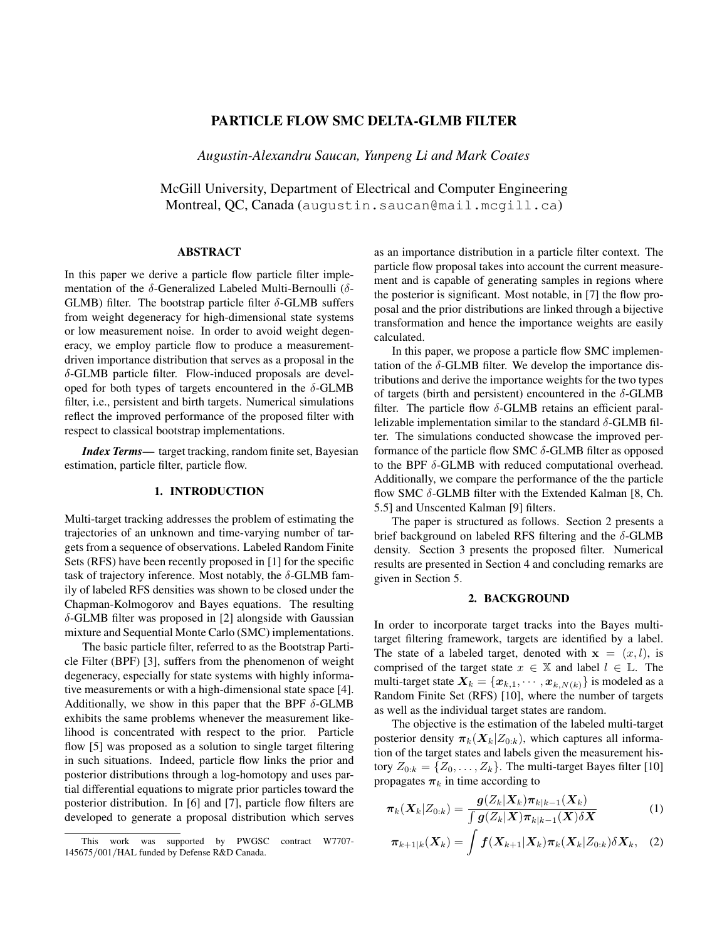# PARTICLE FLOW SMC DELTA-GLMB FILTER

*Augustin-Alexandru Saucan, Yunpeng Li and Mark Coates*

McGill University, Department of Electrical and Computer Engineering Montreal, QC, Canada (augustin.saucan@mail.mcgill.ca)

### ABSTRACT

In this paper we derive a particle flow particle filter implementation of the  $\delta$ -Generalized Labeled Multi-Bernoulli ( $\delta$ -GLMB) filter. The bootstrap particle filter  $\delta$ -GLMB suffers from weight degeneracy for high-dimensional state systems or low measurement noise. In order to avoid weight degeneracy, we employ particle flow to produce a measurementdriven importance distribution that serves as a proposal in the δ-GLMB particle filter. Flow-induced proposals are developed for both types of targets encountered in the  $\delta$ -GLMB filter, i.e., persistent and birth targets. Numerical simulations reflect the improved performance of the proposed filter with respect to classical bootstrap implementations.

*Index Terms*— target tracking, random finite set, Bayesian estimation, particle filter, particle flow.

## 1. INTRODUCTION

Multi-target tracking addresses the problem of estimating the trajectories of an unknown and time-varying number of targets from a sequence of observations. Labeled Random Finite Sets (RFS) have been recently proposed in [1] for the specific task of trajectory inference. Most notably, the  $\delta$ -GLMB family of labeled RFS densities was shown to be closed under the Chapman-Kolmogorov and Bayes equations. The resulting δ-GLMB filter was proposed in [2] alongside with Gaussian mixture and Sequential Monte Carlo (SMC) implementations.

The basic particle filter, referred to as the Bootstrap Particle Filter (BPF) [3], suffers from the phenomenon of weight degeneracy, especially for state systems with highly informative measurements or with a high-dimensional state space [4]. Additionally, we show in this paper that the BPF  $\delta$ -GLMB exhibits the same problems whenever the measurement likelihood is concentrated with respect to the prior. Particle flow [5] was proposed as a solution to single target filtering in such situations. Indeed, particle flow links the prior and posterior distributions through a log-homotopy and uses partial differential equations to migrate prior particles toward the posterior distribution. In [6] and [7], particle flow filters are developed to generate a proposal distribution which serves

as an importance distribution in a particle filter context. The particle flow proposal takes into account the current measurement and is capable of generating samples in regions where the posterior is significant. Most notable, in [7] the flow proposal and the prior distributions are linked through a bijective transformation and hence the importance weights are easily calculated.

In this paper, we propose a particle flow SMC implementation of the  $\delta$ -GLMB filter. We develop the importance distributions and derive the importance weights for the two types of targets (birth and persistent) encountered in the  $\delta$ -GLMB filter. The particle flow  $\delta$ -GLMB retains an efficient parallelizable implementation similar to the standard  $\delta$ -GLMB filter. The simulations conducted showcase the improved performance of the particle flow SMC  $\delta$ -GLMB filter as opposed to the BPF  $\delta$ -GLMB with reduced computational overhead. Additionally, we compare the performance of the the particle flow SMC  $\delta$ -GLMB filter with the Extended Kalman [8, Ch. 5.5] and Unscented Kalman [9] filters.

The paper is structured as follows. Section 2 presents a brief background on labeled RFS filtering and the  $\delta$ -GLMB density. Section 3 presents the proposed filter. Numerical results are presented in Section 4 and concluding remarks are given in Section 5.

### 2. BACKGROUND

In order to incorporate target tracks into the Bayes multitarget filtering framework, targets are identified by a label. The state of a labeled target, denoted with  $x = (x, l)$ , is comprised of the target state  $x \in \mathbb{X}$  and label  $l \in \mathbb{L}$ . The multi-target state  $X_k = \{x_{k,1}, \dots, x_{k,N(k)}\}$  is modeled as a Random Finite Set (RFS) [10], where the number of targets as well as the individual target states are random.

The objective is the estimation of the labeled multi-target posterior density  $\pi_k(X_k|Z_{0:k})$ , which captures all information of the target states and labels given the measurement history  $Z_{0:k} = \{Z_0, \ldots, Z_k\}$ . The multi-target Bayes filter [10] propagates  $\pi_k$  in time according to

$$
\boldsymbol{\pi}_{k}(\boldsymbol{X}_{k}|Z_{0:k}) = \frac{\boldsymbol{g}(Z_{k}|\boldsymbol{X}_{k})\boldsymbol{\pi}_{k|k-1}(\boldsymbol{X}_{k})}{\int \boldsymbol{g}(Z_{k}|\boldsymbol{X})\boldsymbol{\pi}_{k|k-1}(\boldsymbol{X})\delta\boldsymbol{X}}
$$
(1)

$$
\boldsymbol{\pi}_{k+1|k}(\boldsymbol{X}_k) = \int \boldsymbol{f}(\boldsymbol{X}_{k+1}|\boldsymbol{X}_k)\boldsymbol{\pi}_k(\boldsymbol{X}_k|Z_{0:k})\delta \boldsymbol{X}_k, \quad (2)
$$

This work was supported by PWGSC contract W7707- 145675/001/HAL funded by Defense R&D Canada.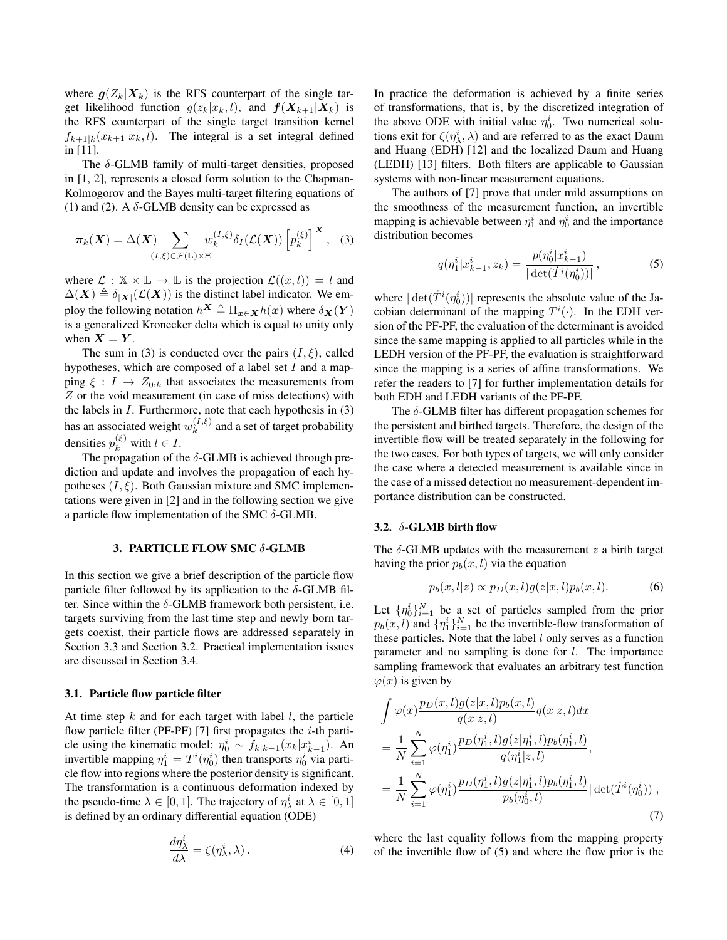where  $g(Z_k|\boldsymbol{X}_k)$  is the RFS counterpart of the single target likelihood function  $g(z_k|x_k, l)$ , and  $f(X_{k+1}|X_k)$  is the RFS counterpart of the single target transition kernel  $f_{k+1|k}(x_{k+1}|x_k, l)$ . The integral is a set integral defined in [11].

The  $\delta$ -GLMB family of multi-target densities, proposed in [1, 2], represents a closed form solution to the Chapman-Kolmogorov and the Bayes multi-target filtering equations of (1) and (2). A  $\delta$ -GLMB density can be expressed as

$$
\pi_k(\boldsymbol{X}) = \Delta(\boldsymbol{X}) \sum_{(I,\xi)\in\mathcal{F}(\mathbb{L})\times\Xi} w_k^{(I,\xi)} \delta_I(\mathcal{L}(\boldsymbol{X})) \left[ p_k^{(\xi)} \right]^{\boldsymbol{X}}, \quad (3)
$$

where  $\mathcal{L}: \mathbb{X} \times \mathbb{L} \to \mathbb{L}$  is the projection  $\mathcal{L}((x, l)) = l$  and  $\Delta(X) \triangleq \delta_{|X|}(\mathcal{L}(X))$  is the distinct label indicator. We employ the following notation  $h^X \triangleq \Pi_{x \in X} h(x)$  where  $\delta_X(Y)$ is a generalized Kronecker delta which is equal to unity only when  $X = Y$ .

The sum in (3) is conducted over the pairs  $(I, \xi)$ , called hypotheses, which are composed of a label set  $I$  and a mapping  $\xi : I \to Z_{0:k}$  that associates the measurements from Z or the void measurement (in case of miss detections) with the labels in  $I$ . Furthermore, note that each hypothesis in  $(3)$ has an associated weight  $w_k^{(I,\xi)}$  $k^{(1, \varsigma)}$  and a set of target probability densities  $p_k^{(\xi)}$  with  $l \in I$ .

The propagation of the  $\delta$ -GLMB is achieved through prediction and update and involves the propagation of each hypotheses  $(I, \xi)$ . Both Gaussian mixture and SMC implementations were given in [2] and in the following section we give a particle flow implementation of the SMC  $\delta$ -GLMB.

# 3. PARTICLE FLOW SMC δ-GLMB

In this section we give a brief description of the particle flow particle filter followed by its application to the  $\delta$ -GLMB filter. Since within the  $\delta$ -GLMB framework both persistent, i.e. targets surviving from the last time step and newly born targets coexist, their particle flows are addressed separately in Section 3.3 and Section 3.2. Practical implementation issues are discussed in Section 3.4.

### 3.1. Particle flow particle filter

At time step  $k$  and for each target with label  $l$ , the particle flow particle filter (PF-PF) [7] first propagates the  $i$ -th particle using the kinematic model:  $\eta_0^i \sim f_{k|k-1}(x_k|x_{k-1}^i)$ . An invertible mapping  $\eta_1^i = T^i(\eta_0^i)$  then transports  $\eta_0^i$  via particle flow into regions where the posterior density is significant. The transformation is a continuous deformation indexed by the pseudo-time  $\lambda \in [0, 1]$ . The trajectory of  $\eta_{\lambda}^{i}$  at  $\lambda \in [0, 1]$ is defined by an ordinary differential equation (ODE)

$$
\frac{d\eta_{\lambda}^{i}}{d\lambda} = \zeta(\eta_{\lambda}^{i}, \lambda). \tag{4}
$$

In practice the deformation is achieved by a finite series of transformations, that is, by the discretized integration of the above ODE with initial value  $\eta_0^i$ . Two numerical solutions exit for  $\zeta(\eta_\lambda^i, \lambda)$  and are referred to as the exact Daum and Huang (EDH) [12] and the localized Daum and Huang (LEDH) [13] filters. Both filters are applicable to Gaussian systems with non-linear measurement equations.

The authors of [7] prove that under mild assumptions on the smoothness of the measurement function, an invertible mapping is achievable between  $\eta_1^i$  and  $\eta_0^i$  and the importance distribution becomes

$$
q(\eta_1^i | x_{k-1}^i, z_k) = \frac{p(\eta_0^i | x_{k-1}^i)}{|\det(\dot{T}^i(\eta_0^i))|},
$$
\n(5)

where  $|\det(\dot{T}^i(\eta_0^i))|$  represents the absolute value of the Jacobian determinant of the mapping  $T^i(\cdot)$ . In the EDH version of the PF-PF, the evaluation of the determinant is avoided since the same mapping is applied to all particles while in the LEDH version of the PF-PF, the evaluation is straightforward since the mapping is a series of affine transformations. We refer the readers to [7] for further implementation details for both EDH and LEDH variants of the PF-PF.

The  $\delta$ -GLMB filter has different propagation schemes for the persistent and birthed targets. Therefore, the design of the invertible flow will be treated separately in the following for the two cases. For both types of targets, we will only consider the case where a detected measurement is available since in the case of a missed detection no measurement-dependent importance distribution can be constructed.

## 3.2. δ-GLMB birth flow

The  $\delta$ -GLMB updates with the measurement z a birth target having the prior  $p_b(x, l)$  via the equation

$$
p_b(x, l|z) \propto p_D(x, l)g(z|x, l)p_b(x, l). \tag{6}
$$

Let  $\{\eta_0^i\}_{i=1}^N$  be a set of particles sampled from the prior  $p_b(x, l)$  and  $\{\eta_1^i\}_{i=1}^N$  be the invertible-flow transformation of these particles. Note that the label  $l$  only serves as a function parameter and no sampling is done for l. The importance sampling framework that evaluates an arbitrary test function  $\varphi(x)$  is given by

$$
\int \varphi(x) \frac{p_D(x, l) g(z|x, l) p_b(x, l)}{q(x|z, l)} q(x|z, l) dx \n= \frac{1}{N} \sum_{i=1}^N \varphi(\eta_1^i) \frac{p_D(\eta_1^i, l) g(z|\eta_1^i, l) p_b(\eta_1^i, l)}{q(\eta_1^i | z, l)}, \n= \frac{1}{N} \sum_{i=1}^N \varphi(\eta_1^i) \frac{p_D(\eta_1^i, l) g(z|\eta_1^i, l) p_b(\eta_1^i, l)}{p_b(\eta_0^i, l)} |\det(\dot{T}^i(\eta_0^i))|,
$$
\n(7)

where the last equality follows from the mapping property of the invertible flow of (5) and where the flow prior is the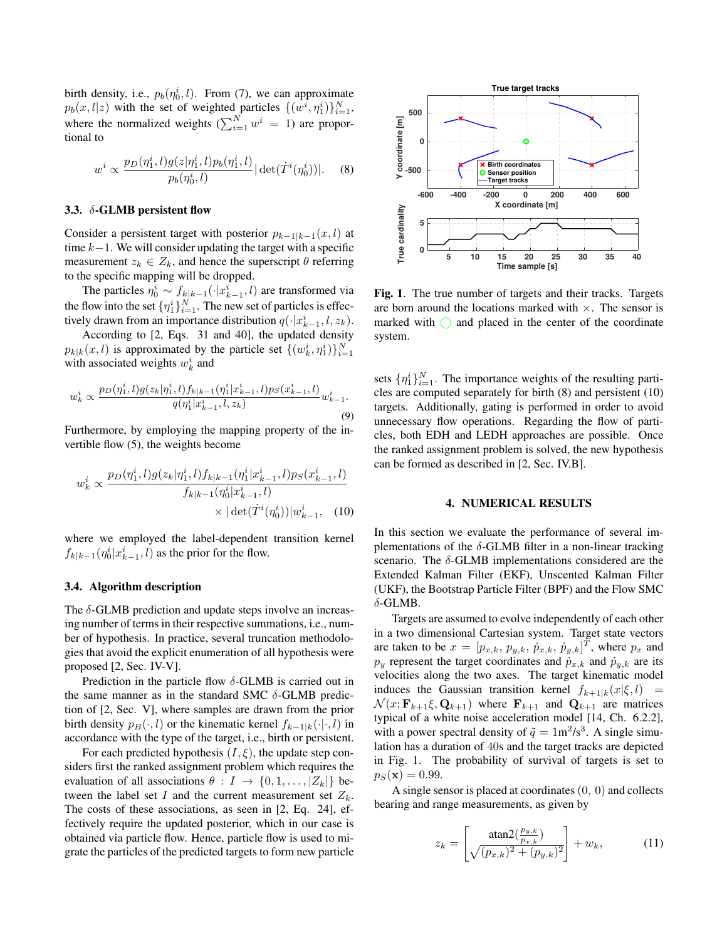birth density, i.e.,  $p_b(\eta_0^i, l)$ . From (7), we can approximate  $p_b(x, l|z)$  with the set of weighted particles  $\{(w^i, \eta_1^i)\}_{i=1}^N$ , where the normalized weights  $(\sum_{i=1}^{N} w^{i} = 1)$  are proportional to

$$
w^{i} \propto \frac{p_{D}(\eta_{1}^{i}, l)g(z|\eta_{1}^{i}, l)p_{b}(\eta_{1}^{i}, l)}{p_{b}(\eta_{0}^{i}, l)} |\det(\dot{T}^{i}(\eta_{0}^{i}))|.
$$
 (8)

#### 3.3. δ-GLMB persistent flow

Consider a persistent target with posterior  $p_{k-1|k-1}(x, l)$  at time  $k-1$ . We will consider updating the target with a specific measurement  $z_k \in Z_k$ , and hence the superscript  $\theta$  referring to the specific mapping will be dropped.

The particles  $\eta_0^i \sim f_{k|k-1}(\cdot|x_{k-1}^i, l)$  are transformed via the flow into the set  $\{\eta_1^i\}_{i=1}^N$ . The new set of particles is effectively drawn from an importance distribution  $q(\cdot|x_{k-1}^i, l, z_k)$ .

According to [2, Eqs. 31 and 40], the updated density  $p_{k|k}(x, l)$  is approximated by the particle set  $\{(w_k^i, \eta_1^i)\}_{i=1}^N$ with associated weights  $w_k^i$  and

$$
w_k^i \propto \frac{p_D(\eta_1^i, l)g(z_k|\eta_1^i, l)f_{k|k-1}(\eta_1^i|x_{k-1}^i, l)p_S(x_{k-1}^i, l)}{q(\eta_1^i|x_{k-1}^i, l, z_k)}w_{k-1}^i.
$$
\n(9)

Furthermore, by employing the mapping property of the invertible flow (5), the weights become

$$
w_k^i \propto \frac{p_D(\eta_1^i, l)g(z_k|\eta_1^i, l)f_{k|k-1}(\eta_1^i|x_{k-1}^i, l)p_S(x_{k-1}^i, l)}{f_{k|k-1}(\eta_0^i|x_{k-1}^i, l)} \times |\det(\dot{T}^i(\eta_0^i))|w_{k-1}^i, \quad (10)
$$

where we employed the label-dependent transition kernel  $f_{k|k-1}(\eta_0^i|x_{k-1}^i, l)$  as the prior for the flow.

### 3.4. Algorithm description

The  $\delta$ -GLMB prediction and update steps involve an increasing number of terms in their respective summations, i.e., number of hypothesis. In practice, several truncation methodologies that avoid the explicit enumeration of all hypothesis were proposed [2, Sec. IV-V].

Prediction in the particle flow  $\delta$ -GLMB is carried out in the same manner as in the standard SMC  $\delta$ -GLMB prediction of [2, Sec. V], where samples are drawn from the prior birth density  $p_B(\cdot, l)$  or the kinematic kernel  $f_{k-1|k}(\cdot|\cdot, l)$  in accordance with the type of the target, i.e., birth or persistent.

For each predicted hypothesis  $(I, \xi)$ , the update step considers first the ranked assignment problem which requires the evaluation of all associations  $\theta : I \to \{0, 1, \ldots, |Z_k|\}$  between the label set I and the current measurement set  $Z_k$ . The costs of these associations, as seen in [2, Eq. 24], effectively require the updated posterior, which in our case is obtained via particle flow. Hence, particle flow is used to migrate the particles of the predicted targets to form new particle



Fig. 1. The true number of targets and their tracks. Targets are born around the locations marked with  $\times$ . The sensor is marked with  $\bigcap$  and placed in the center of the coordinate system.

sets  $\{\eta_1^i\}_{i=1}^N$ . The importance weights of the resulting particles are computed separately for birth (8) and persistent (10) targets. Additionally, gating is performed in order to avoid unnecessary flow operations. Regarding the flow of particles, both EDH and LEDH approaches are possible. Once the ranked assignment problem is solved, the new hypothesis can be formed as described in [2, Sec. IV.B].

### 4. NUMERICAL RESULTS

In this section we evaluate the performance of several implementations of the  $\delta$ -GLMB filter in a non-linear tracking scenario. The  $\delta$ -GLMB implementations considered are the Extended Kalman Filter (EKF), Unscented Kalman Filter (UKF), the Bootstrap Particle Filter (BPF) and the Flow SMC  $\delta$ -GLMB.

Targets are assumed to evolve independently of each other in a two dimensional Cartesian system. Target state vectors are taken to be  $x = [p_{x,k}, p_{y,k}, \dot{p}_{x,k}, \dot{p}_{y,k}]^T$ , where  $p_x$  and  $p_y$  represent the target coordinates and  $\dot{p}_{x,k}$  and  $\dot{p}_{y,k}$  are its velocities along the two axes. The target kinematic model induces the Gaussian transition kernel  $f_{k+1|k}(x|\xi, l)$  =  $\mathcal{N}(x; \mathbf{F}_{k+1}\xi, \mathbf{Q}_{k+1})$  where  $\mathbf{F}_{k+1}$  and  $\mathbf{Q}_{k+1}$  are matrices typical of a white noise acceleration model [14, Ch. 6.2.2], with a power spectral density of  $\tilde{q} = 1 \text{m}^2/\text{s}^3$ . A single simulation has a duration of 40s and the target tracks are depicted in Fig. 1. The probability of survival of targets is set to  $p_S(\mathbf{x}) = 0.99.$ 

A single sensor is placed at coordinates (0, 0) and collects bearing and range measurements, as given by

$$
z_k = \left[\frac{\text{atan2}(\frac{p_{y,k}}{p_{x,k}})}{\sqrt{(p_{x,k})^2 + (p_{y,k})^2}}\right] + w_k,
$$
 (11)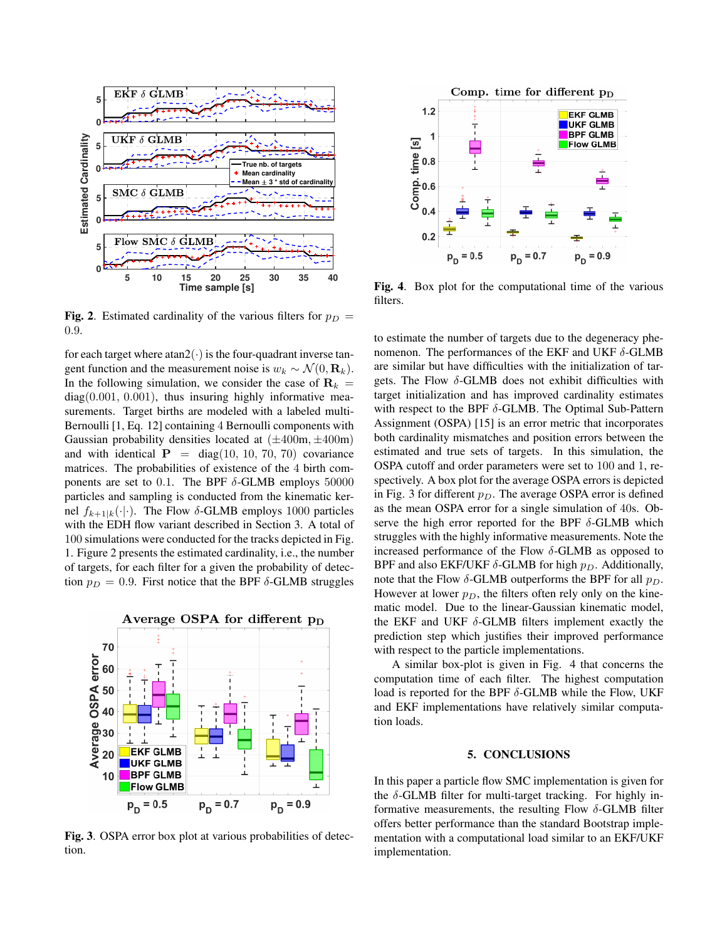

**Fig. 2.** Estimated cardinality of the various filters for  $p_D$  = 0.9.

for each target where  $atan2(\cdot)$  is the four-quadrant inverse tangent function and the measurement noise is  $w_k \sim \mathcal{N}(0, \mathbf{R}_k)$ . In the following simulation, we consider the case of  $\mathbf{R}_k =$  $diag(0.001, 0.001)$ , thus insuring highly informative measurements. Target births are modeled with a labeled multi-Bernoulli [1, Eq. 12] containing 4 Bernoulli components with Gaussian probability densities located at  $(\pm 400m, \pm 400m)$ and with identical  $P = diag(10, 10, 70, 70)$  covariance matrices. The probabilities of existence of the 4 birth components are set to 0.1. The BPF  $\delta$ -GLMB employs 50000 particles and sampling is conducted from the kinematic kernel  $f_{k+1|k}(\cdot|\cdot)$ . The Flow  $\delta$ -GLMB employs 1000 particles with the EDH flow variant described in Section 3. A total of 100 simulations were conducted for the tracks depicted in Fig. 1. Figure 2 presents the estimated cardinality, i.e., the number of targets, for each filter for a given the probability of detection  $p_D = 0.9$ . First notice that the BPF  $\delta$ -GLMB struggles



Fig. 3. OSPA error box plot at various probabilities of detection.



Fig. 4. Box plot for the computational time of the various filters.

to estimate the number of targets due to the degeneracy phenomenon. The performances of the EKF and UKF  $\delta$ -GLMB are similar but have difficulties with the initialization of targets. The Flow  $\delta$ -GLMB does not exhibit difficulties with target initialization and has improved cardinality estimates with respect to the BPF  $\delta$ -GLMB. The Optimal Sub-Pattern Assignment (OSPA) [15] is an error metric that incorporates both cardinality mismatches and position errors between the estimated and true sets of targets. In this simulation, the OSPA cutoff and order parameters were set to 100 and 1, respectively. A box plot for the average OSPA errors is depicted in Fig. 3 for different  $p_D$ . The average OSPA error is defined as the mean OSPA error for a single simulation of 40s. Observe the high error reported for the BPF  $\delta$ -GLMB which struggles with the highly informative measurements. Note the increased performance of the Flow  $\delta$ -GLMB as opposed to BPF and also EKF/UKF  $\delta$ -GLMB for high  $p<sub>D</sub>$ . Additionally, note that the Flow  $\delta$ -GLMB outperforms the BPF for all  $p_D$ . However at lower  $p_D$ , the filters often rely only on the kinematic model. Due to the linear-Gaussian kinematic model, the EKF and UKF  $\delta$ -GLMB filters implement exactly the prediction step which justifies their improved performance with respect to the particle implementations.

A similar box-plot is given in Fig. 4 that concerns the computation time of each filter. The highest computation load is reported for the BPF  $\delta$ -GLMB while the Flow, UKF and EKF implementations have relatively similar computation loads.

### 5. CONCLUSIONS

In this paper a particle flow SMC implementation is given for the  $\delta$ -GLMB filter for multi-target tracking. For highly informative measurements, the resulting Flow  $\delta$ -GLMB filter offers better performance than the standard Bootstrap implementation with a computational load similar to an EKF/UKF implementation.